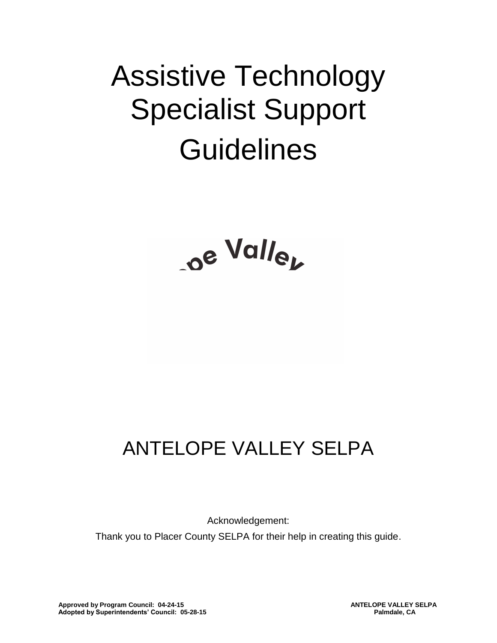# Assistive Technology Specialist Support **Guidelines**

# ANTELOPE VALLEY SELPA

Acknowledgement: Thank you to Placer County SELPA for their help in creating this guide.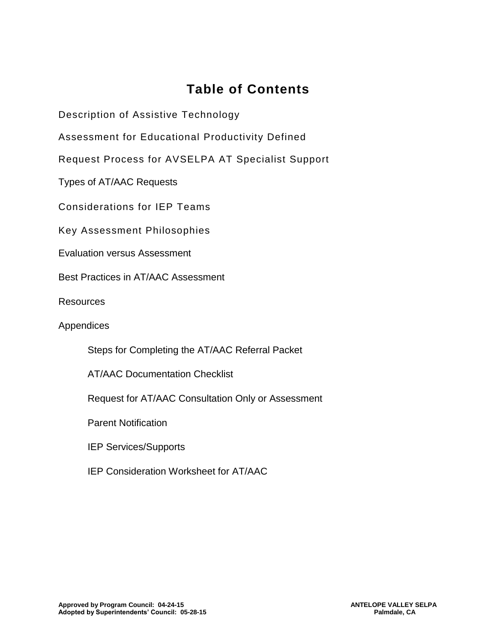# **Table of Contents**

Description of Assistive Technology

Assessment for Educational Productivity Defined

Request Process for AVSELPA AT Specialist Support

Types of AT/AAC Requests

Considerations for IEP Teams

Key Assessment Philosophies

Evaluation versus Assessment

Best Practices in AT/AAC Assessment

**Resources** 

Appendices

Steps for Completing the AT/AAC Referral Packet

AT/AAC Documentation Checklist

Request for AT/AAC Consultation Only or Assessment

Parent Notification

IEP Services/Supports

IEP Consideration Worksheet for AT/AAC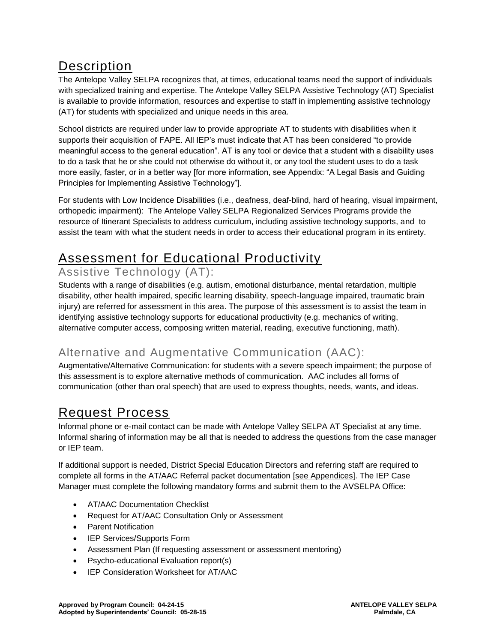# **Description**

The Antelope Valley SELPA recognizes that, at times, educational teams need the support of individuals with specialized training and expertise. The Antelope Valley SELPA Assistive Technology (AT) Specialist is available to provide information, resources and expertise to staff in implementing assistive technology (AT) for students with specialized and unique needs in this area.

School districts are required under law to provide appropriate AT to students with disabilities when it supports their acquisition of FAPE. All IEP's must indicate that AT has been considered "to provide meaningful access to the general education". AT is any tool or device that a student with a disability uses to do a task that he or she could not otherwise do without it, or any tool the student uses to do a task more easily, faster, or in a better way [for more information, see Appendix: "A Legal Basis and Guiding Principles for Implementing Assistive Technology"].

For students with Low Incidence Disabilities (i.e., deafness, deaf-blind, hard of hearing, visual impairment, orthopedic impairment): The Antelope Valley SELPA Regionalized Services Programs provide the resource of Itinerant Specialists to address curriculum, including assistive technology supports, and to assist the team with what the student needs in order to access their educational program in its entirety.

# Assessment for Educational Productivity

## Assistive Technology (AT):

Students with a range of disabilities (e.g. autism, emotional disturbance, mental retardation, multiple disability, other health impaired, specific learning disability, speech-language impaired, traumatic brain injury) are referred for assessment in this area. The purpose of this assessment is to assist the team in identifying assistive technology supports for educational productivity (e.g. mechanics of writing, alternative computer access, composing written material, reading, executive functioning, math).

## Alternative and Augmentative Communication (AAC):

Augmentative/Alternative Communication: for students with a severe speech impairment; the purpose of this assessment is to explore alternative methods of communication. AAC includes all forms of communication (other than oral speech) that are used to express thoughts, needs, wants, and ideas.

# Request Process

Informal phone or e-mail contact can be made with Antelope Valley SELPA AT Specialist at any time. Informal sharing of information may be all that is needed to address the questions from the case manager or IEP team.

If additional support is needed, District Special Education Directors and referring staff are required to complete all forms in the AT/AAC Referral packet documentation [see Appendices]. The IEP Case Manager must complete the following mandatory forms and submit them to the AVSELPA Office:

- AT/AAC Documentation Checklist
- Request for AT/AAC Consultation Only or Assessment
- Parent Notification
- IEP Services/Supports Form
- Assessment Plan (If requesting assessment or assessment mentoring)
- Psycho-educational Evaluation report(s)
- IEP Consideration Worksheet for AT/AAC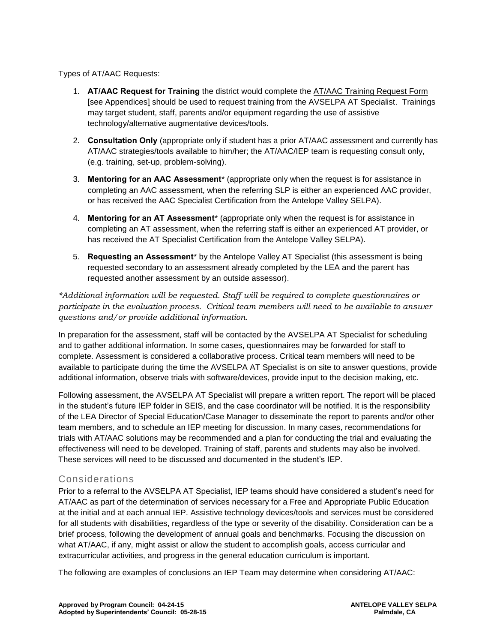Types of AT/AAC Requests:

- 1. **AT/AAC Request for Training** the district would complete the AT/AAC Training Request Form [see Appendices] should be used to request training from the AVSELPA AT Specialist. Trainings may target student, staff, parents and/or equipment regarding the use of assistive technology/alternative augmentative devices/tools.
- 2. **Consultation Only** (appropriate only if student has a prior AT/AAC assessment and currently has AT/AAC strategies/tools available to him/her; the AT/AAC/IEP team is requesting consult only, (e.g. training, set-up, problem-solving).
- 3. **Mentoring for an AAC Assessment**\* (appropriate only when the request is for assistance in completing an AAC assessment, when the referring SLP is either an experienced AAC provider, or has received the AAC Specialist Certification from the Antelope Valley SELPA).
- 4. **Mentoring for an AT Assessment**\* (appropriate only when the request is for assistance in completing an AT assessment, when the referring staff is either an experienced AT provider, or has received the AT Specialist Certification from the Antelope Valley SELPA).
- 5. **Requesting an Assessment**\* by the Antelope Valley AT Specialist (this assessment is being requested secondary to an assessment already completed by the LEA and the parent has requested another assessment by an outside assessor).

*\*Additional information will be requested. Staff will be required to complete questionnaires or participate in the evaluation process. Critical team members will need to be available to answer questions and/or provide additional information.*

In preparation for the assessment, staff will be contacted by the AVSELPA AT Specialist for scheduling and to gather additional information. In some cases, questionnaires may be forwarded for staff to complete. Assessment is considered a collaborative process. Critical team members will need to be available to participate during the time the AVSELPA AT Specialist is on site to answer questions, provide additional information, observe trials with software/devices, provide input to the decision making, etc.

Following assessment, the AVSELPA AT Specialist will prepare a written report. The report will be placed in the student's future IEP folder in SEIS, and the case coordinator will be notified. It is the responsibility of the LEA Director of Special Education/Case Manager to disseminate the report to parents and/or other team members, and to schedule an IEP meeting for discussion. In many cases, recommendations for trials with AT/AAC solutions may be recommended and a plan for conducting the trial and evaluating the effectiveness will need to be developed. Training of staff, parents and students may also be involved. These services will need to be discussed and documented in the student's IEP.

#### Considerations

Prior to a referral to the AVSELPA AT Specialist, IEP teams should have considered a student's need for AT/AAC as part of the determination of services necessary for a Free and Appropriate Public Education at the initial and at each annual IEP. Assistive technology devices/tools and services must be considered for all students with disabilities, regardless of the type or severity of the disability. Consideration can be a brief process, following the development of annual goals and benchmarks. Focusing the discussion on what AT/AAC, if any, might assist or allow the student to accomplish goals, access curricular and extracurricular activities, and progress in the general education curriculum is important.

The following are examples of conclusions an IEP Team may determine when considering AT/AAC: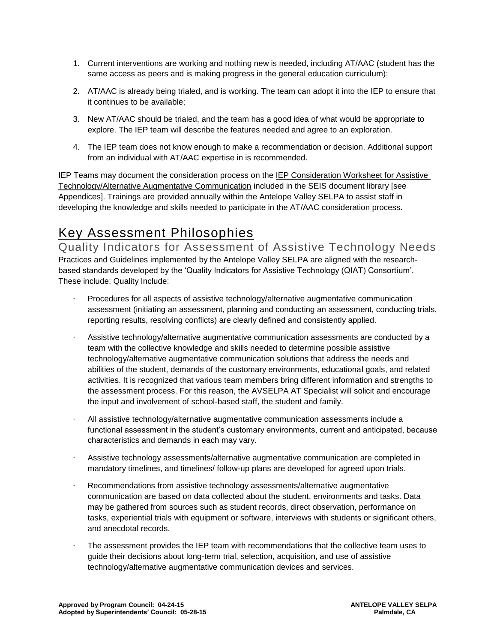- 1. Current interventions are working and nothing new is needed, including AT/AAC (student has the same access as peers and is making progress in the general education curriculum);
- 2. AT/AAC is already being trialed, and is working. The team can adopt it into the IEP to ensure that it continues to be available;
- 3. New AT/AAC should be trialed, and the team has a good idea of what would be appropriate to explore. The IEP team will describe the features needed and agree to an exploration.
- 4. The IEP team does not know enough to make a recommendation or decision. Additional support from an individual with AT/AAC expertise in is recommended.

IEP Teams may document the consideration process on the IEP Consideration Worksheet for Assistive Technology/Alternative Augmentative Communication included in the SEIS document library [see Appendices]. Trainings are provided annually within the Antelope Valley SELPA to assist staff in developing the knowledge and skills needed to participate in the AT/AAC consideration process.

# Key Assessment Philosophies

Quality Indicators for Assessment of Assistive Technology Needs Practices and Guidelines implemented by the Antelope Valley SELPA are aligned with the researchbased standards developed by the 'Quality Indicators for Assistive Technology (QIAT) Consortium'. These include: Quality Include:

- · Procedures for all aspects of assistive technology/alternative augmentative communication assessment (initiating an assessment, planning and conducting an assessment, conducting trials, reporting results, resolving conflicts) are clearly defined and consistently applied.
- Assistive technology/alternative augmentative communication assessments are conducted by a team with the collective knowledge and skills needed to determine possible assistive technology/alternative augmentative communication solutions that address the needs and abilities of the student, demands of the customary environments, educational goals, and related activities. It is recognized that various team members bring different information and strengths to the assessment process. For this reason, the AVSELPA AT Specialist will solicit and encourage the input and involvement of school-based staff, the student and family.
- · All assistive technology/alternative augmentative communication assessments include a functional assessment in the student's customary environments, current and anticipated, because characteristics and demands in each may vary.
- · Assistive technology assessments/alternative augmentative communication are completed in mandatory timelines, and timelines/ follow-up plans are developed for agreed upon trials.
- Recommendations from assistive technology assessments/alternative augmentative communication are based on data collected about the student, environments and tasks. Data may be gathered from sources such as student records, direct observation, performance on tasks, experiential trials with equipment or software, interviews with students or significant others, and anecdotal records.
- The assessment provides the IEP team with recommendations that the collective team uses to guide their decisions about long-term trial, selection, acquisition, and use of assistive technology/alternative augmentative communication devices and services.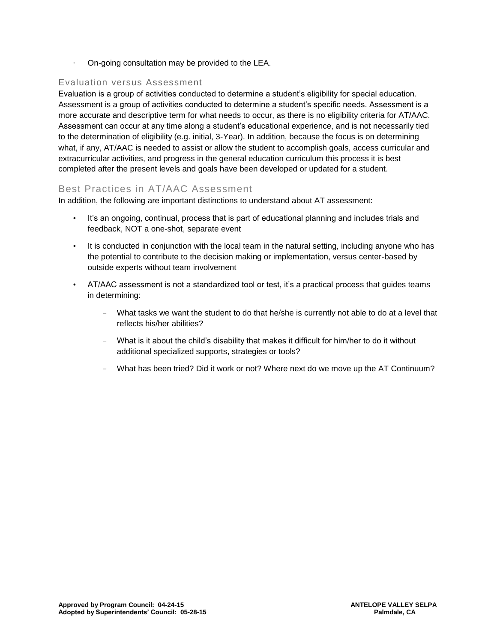· On-going consultation may be provided to the LEA.

#### Evaluation versus Assessment

Evaluation is a group of activities conducted to determine a student's eligibility for special education. Assessment is a group of activities conducted to determine a student's specific needs. Assessment is a more accurate and descriptive term for what needs to occur, as there is no eligibility criteria for AT/AAC. Assessment can occur at any time along a student's educational experience, and is not necessarily tied to the determination of eligibility (e.g. initial, 3-Year). In addition, because the focus is on determining what, if any, AT/AAC is needed to assist or allow the student to accomplish goals, access curricular and extracurricular activities, and progress in the general education curriculum this process it is best completed after the present levels and goals have been developed or updated for a student.

#### Best Practices in AT/AAC Assessment

In addition, the following are important distinctions to understand about AT assessment:

- It's an ongoing, continual, process that is part of educational planning and includes trials and feedback, NOT a one-shot, separate event
- It is conducted in conjunction with the local team in the natural setting, including anyone who has the potential to contribute to the decision making or implementation, versus center-based by outside experts without team involvement
- AT/AAC assessment is not a standardized tool or test, it's a practical process that guides teams in determining:
	- What tasks we want the student to do that he/she is currently not able to do at a level that reflects his/her abilities?
	- What is it about the child's disability that makes it difficult for him/her to do it without additional specialized supports, strategies or tools?
	- What has been tried? Did it work or not? Where next do we move up the AT Continuum?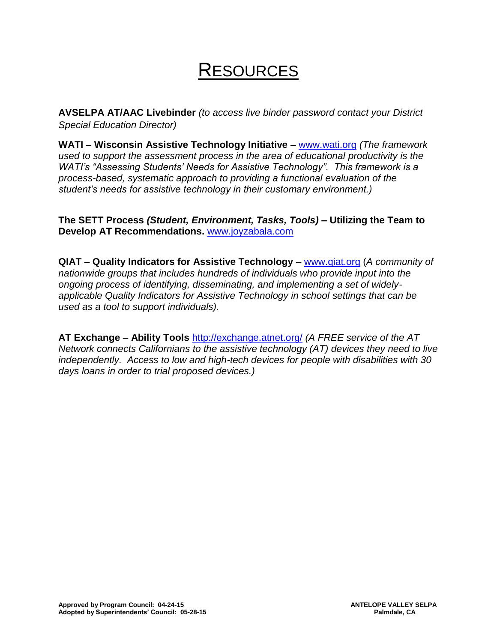# **RESOURCES**

**AVSELPA AT/AAC Livebinder** *(to access live binder password contact your District Special Education Director)* 

**WATI – Wisconsin Assistive Technology Initiative –** [www.wati.org](http://www.wati.org/) *(The framework used to support the assessment process in the area of educational productivity is the WATI's "Assessing Students' Needs for Assistive Technology". This framework is a process-based, systematic approach to providing a functional evaluation of the student's needs for assistive technology in their customary environment.)* 

**The SETT Process** *(Student, Environment, Tasks, Tools)* **– Utilizing the Team to Develop AT Recommendations.** [www.joyzabala.com](http://www.joyzabala.com/)

**QIAT – Quality Indicators for Assistive Technology** – [www.qiat.org](http://www.qiat.org/) (*A community of nationwide groups that includes hundreds of individuals who provide input into the ongoing process of identifying, disseminating, and implementing a set of widelyapplicable Quality Indicators for Assistive Technology in school settings that can be used as a tool to support individuals).* 

**AT Exchange – Ability Tools** <http://exchange.atnet.org/> *(A FREE service of the AT Network connects Californians to the assistive technology (AT) devices they need to live independently. Access to low and high-tech devices for people with disabilities with 30 days loans in order to trial proposed devices.)*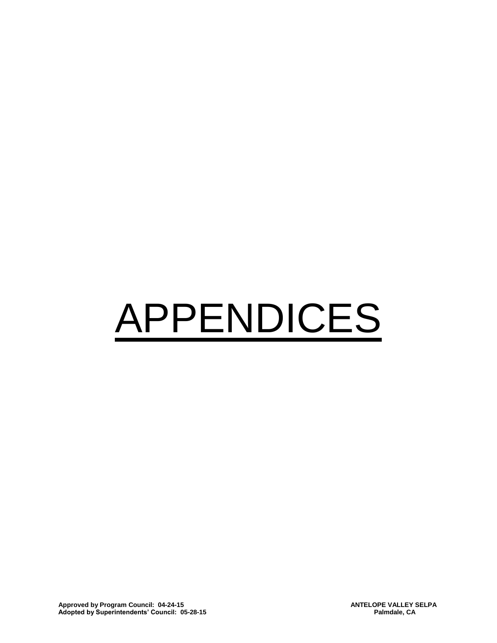# APPENDICES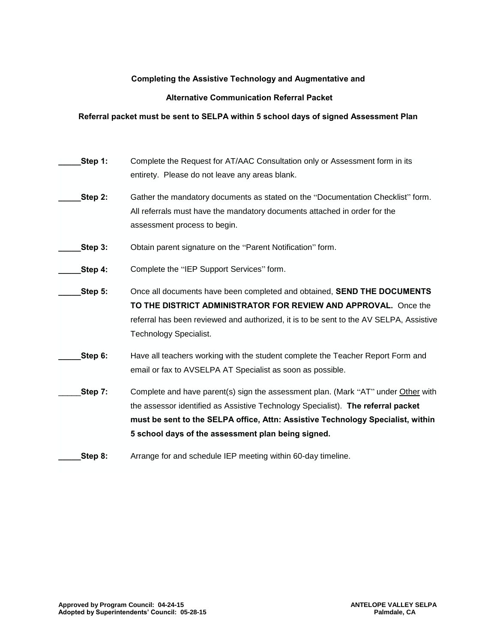#### **Completing the Assistive Technology and Augmentative and**

#### **Alternative Communication Referral Packet**

#### **Referral packet must be sent to SELPA within 5 school days of signed Assessment Plan**

| Step 1: | Complete the Request for AT/AAC Consultation only or Assessment form in its<br>entirety. Please do not leave any areas blank.                                                                                                                                                                                  |
|---------|----------------------------------------------------------------------------------------------------------------------------------------------------------------------------------------------------------------------------------------------------------------------------------------------------------------|
| Step 2: | Gather the mandatory documents as stated on the "Documentation Checklist" form.<br>All referrals must have the mandatory documents attached in order for the<br>assessment process to begin.                                                                                                                   |
| Step 3: | Obtain parent signature on the "Parent Notification" form.                                                                                                                                                                                                                                                     |
| Step 4: | Complete the "IEP Support Services" form.                                                                                                                                                                                                                                                                      |
| Step 5: | Once all documents have been completed and obtained, SEND THE DOCUMENTS<br>TO THE DISTRICT ADMINISTRATOR FOR REVIEW AND APPROVAL. Once the<br>referral has been reviewed and authorized, it is to be sent to the AV SELPA, Assistive<br><b>Technology Specialist.</b>                                          |
| Step 6: | Have all teachers working with the student complete the Teacher Report Form and<br>email or fax to AVSELPA AT Specialist as soon as possible.                                                                                                                                                                  |
| Step 7: | Complete and have parent(s) sign the assessment plan. (Mark "AT" under Other with<br>the assessor identified as Assistive Technology Specialist). The referral packet<br>must be sent to the SELPA office, Attn: Assistive Technology Specialist, within<br>5 school days of the assessment plan being signed. |
| Step 8: | Arrange for and schedule IEP meeting within 60-day timeline.                                                                                                                                                                                                                                                   |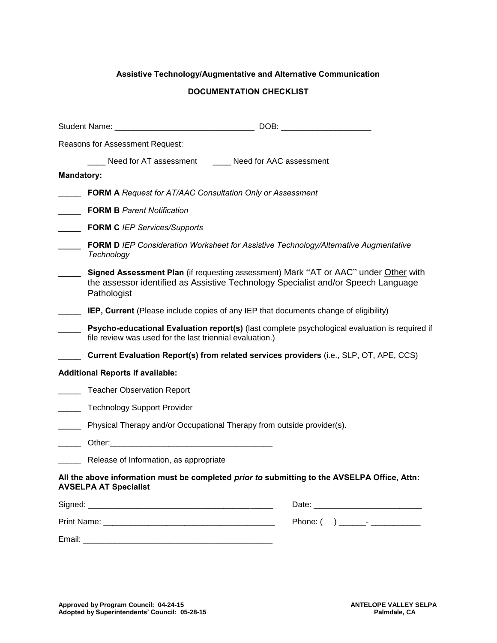#### **Assistive Technology/Augmentative and Alternative Communication**

#### **DOCUMENTATION CHECKLIST**

|                   | Reasons for Assessment Request:                                                                                                                                                                                                |  |  |  |  |
|-------------------|--------------------------------------------------------------------------------------------------------------------------------------------------------------------------------------------------------------------------------|--|--|--|--|
|                   | ____ Need for AT assessment _____ Need for AAC assessment                                                                                                                                                                      |  |  |  |  |
| <b>Mandatory:</b> |                                                                                                                                                                                                                                |  |  |  |  |
|                   | <b>FORM A Request for AT/AAC Consultation Only or Assessment</b>                                                                                                                                                               |  |  |  |  |
|                   | <b>FORM B Parent Notification</b>                                                                                                                                                                                              |  |  |  |  |
|                   | <b>FORM C</b> IEP Services/Supports                                                                                                                                                                                            |  |  |  |  |
|                   | FORM D IEP Consideration Worksheet for Assistive Technology/Alternative Augmentative<br>Technology                                                                                                                             |  |  |  |  |
|                   | Signed Assessment Plan (if requesting assessment) Mark "AT or AAC" under Other with<br>the assessor identified as Assistive Technology Specialist and/or Speech Language<br>Pathologist                                        |  |  |  |  |
|                   | IEP, Current (Please include copies of any IEP that documents change of eligibility)                                                                                                                                           |  |  |  |  |
|                   | Psycho-educational Evaluation report(s) (last complete psychological evaluation is required if<br>file review was used for the last triennial evaluation.)                                                                     |  |  |  |  |
|                   | Current Evaluation Report(s) from related services providers (i.e., SLP, OT, APE, CCS)                                                                                                                                         |  |  |  |  |
|                   | <b>Additional Reports if available:</b>                                                                                                                                                                                        |  |  |  |  |
|                   | Teacher Observation Report                                                                                                                                                                                                     |  |  |  |  |
|                   | <b>Technology Support Provider</b>                                                                                                                                                                                             |  |  |  |  |
|                   | Physical Therapy and/or Occupational Therapy from outside provider(s).                                                                                                                                                         |  |  |  |  |
|                   |                                                                                                                                                                                                                                |  |  |  |  |
|                   | Release of Information, as appropriate                                                                                                                                                                                         |  |  |  |  |
|                   | All the above information must be completed prior to submitting to the AVSELPA Office, Attn:<br><b>AVSELPA AT Specialist</b>                                                                                                   |  |  |  |  |
|                   |                                                                                                                                                                                                                                |  |  |  |  |
|                   | Print Name: The contract of the contract of the contract of the contract of the contract of the contract of the contract of the contract of the contract of the contract of the contract of the contract of the contract of th |  |  |  |  |
| Email:            |                                                                                                                                                                                                                                |  |  |  |  |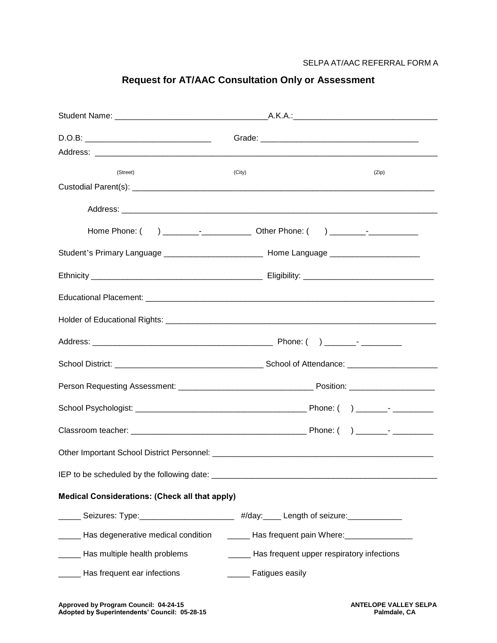SELPA AT/AAC REFERRAL FORM A

| (Street)                                                                                            | (City)                                    | (Zip) |
|-----------------------------------------------------------------------------------------------------|-------------------------------------------|-------|
|                                                                                                     |                                           |       |
|                                                                                                     |                                           |       |
|                                                                                                     |                                           |       |
| Student's Primary Language _________________________________ Home Language ________________________ |                                           |       |
|                                                                                                     |                                           |       |
|                                                                                                     |                                           |       |
|                                                                                                     |                                           |       |
|                                                                                                     |                                           |       |
|                                                                                                     |                                           |       |
|                                                                                                     |                                           |       |
|                                                                                                     |                                           |       |
|                                                                                                     |                                           |       |
|                                                                                                     |                                           |       |
|                                                                                                     |                                           |       |
| <b>Medical Considerations: (Check all that apply)</b>                                               |                                           |       |
| Seizures: Type: _______________________ #/day: ____ Length of seizure: __________                   |                                           |       |
| Has degenerative medical condition _________ Has frequent pain Where: _________________             |                                           |       |
| Has multiple health problems                                                                        | Has frequent upper respiratory infections |       |
| Has frequent ear infections                                                                         | Fatigues easily                           |       |

### **Request for AT/AAC Consultation Only or Assessment**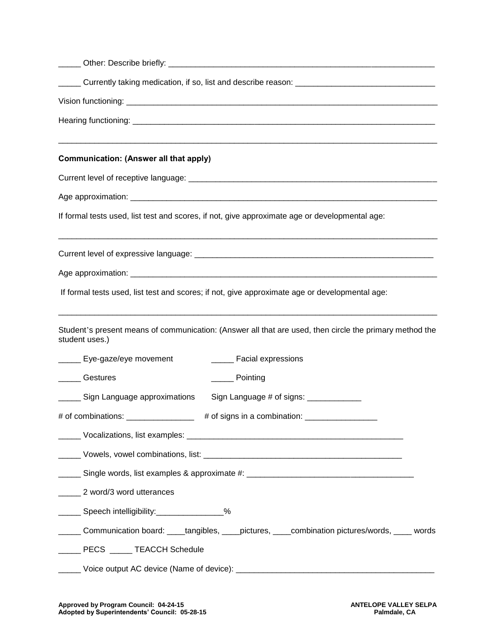| <b>Communication: (Answer all that apply)</b>                                                                             |  |
|---------------------------------------------------------------------------------------------------------------------------|--|
|                                                                                                                           |  |
|                                                                                                                           |  |
| If formal tests used, list test and scores, if not, give approximate age or developmental age:                            |  |
|                                                                                                                           |  |
|                                                                                                                           |  |
| If formal tests used, list test and scores; if not, give approximate age or developmental age:                            |  |
| Student's present means of communication: (Answer all that are used, then circle the primary method the<br>student uses.) |  |
| ______ Facial expressions<br>______ Eye-gaze/eye movement                                                                 |  |
| Gestures<br><u>__</u> ____ Pointing                                                                                       |  |
| Sign Language approximations<br>Sign Language # of signs: ____________                                                    |  |
| # of combinations: _________________                                                                                      |  |
|                                                                                                                           |  |
|                                                                                                                           |  |
|                                                                                                                           |  |
| 2 word/3 word utterances                                                                                                  |  |
| _______ Speech intelligibility:_________________%                                                                         |  |
| Communication board: ____tangibles, ____pictures, ____combination pictures/words, ____ words                              |  |
| PECS ______ TEACCH Schedule                                                                                               |  |
|                                                                                                                           |  |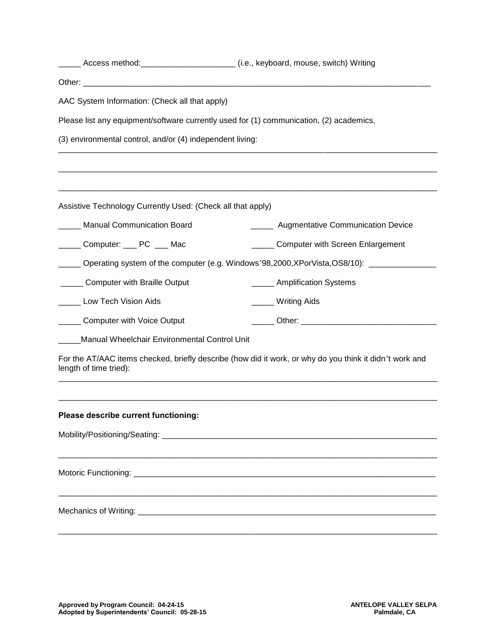|                                                             | Access method: __________________________ (i.e., keyboard, mouse, switch) Writing                       |
|-------------------------------------------------------------|---------------------------------------------------------------------------------------------------------|
|                                                             |                                                                                                         |
| AAC System Information: (Check all that apply)              |                                                                                                         |
|                                                             | Please list any equipment/software currently used for (1) communication, (2) academics,                 |
| (3) environmental control, and/or (4) independent living:   |                                                                                                         |
|                                                             |                                                                                                         |
| Assistive Technology Currently Used: (Check all that apply) |                                                                                                         |
| <b>Manual Communication Board</b>                           | ______ Augmentative Communication Device                                                                |
| Computer: ____ PC ___ Mac                                   | _____ Computer with Screen Enlargement                                                                  |
|                                                             | Operating system of the computer (e.g. Windows'98,2000,XPorVista,OS8/10): _____________                 |
| <b>Computer with Braille Output</b>                         | ____ Amplification Systems                                                                              |
| Low Tech Vision Aids                                        | _____ Writing Aids                                                                                      |
| <b>Computer with Voice Output</b>                           |                                                                                                         |
| Manual Wheelchair Environmental Control Unit                |                                                                                                         |
| length of time tried):                                      | For the AT/AAC items checked, briefly describe (how did it work, or why do you think it didn't work and |
| Please describe current functioning:                        |                                                                                                         |
|                                                             |                                                                                                         |
|                                                             |                                                                                                         |
|                                                             |                                                                                                         |
|                                                             |                                                                                                         |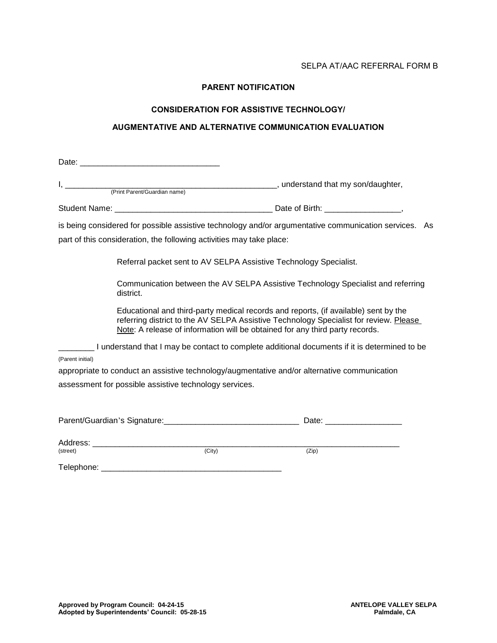#### SELPA AT/AAC REFERRAL FORM B

#### **PARENT NOTIFICATION**

#### **CONSIDERATION FOR ASSISTIVE TECHNOLOGY/**

#### **AUGMENTATIVE AND ALTERNATIVE COMMUNICATION EVALUATION**

|                  | (Print Parent/Guardian name) (and that my son/daughter,                                                                                                                                                                                                      |                                                                                                       |
|------------------|--------------------------------------------------------------------------------------------------------------------------------------------------------------------------------------------------------------------------------------------------------------|-------------------------------------------------------------------------------------------------------|
|                  |                                                                                                                                                                                                                                                              |                                                                                                       |
|                  |                                                                                                                                                                                                                                                              | is being considered for possible assistive technology and/or argumentative communication services. As |
|                  | part of this consideration, the following activities may take place:                                                                                                                                                                                         |                                                                                                       |
|                  | Referral packet sent to AV SELPA Assistive Technology Specialist.                                                                                                                                                                                            |                                                                                                       |
|                  | Communication between the AV SELPA Assistive Technology Specialist and referring<br>district.                                                                                                                                                                |                                                                                                       |
|                  | Educational and third-party medical records and reports, (if available) sent by the<br>referring district to the AV SELPA Assistive Technology Specialist for review. Please<br>Note: A release of information will be obtained for any third party records. |                                                                                                       |
|                  | __ I understand that I may be contact to complete additional documents if it is determined to be                                                                                                                                                             |                                                                                                       |
| (Parent initial) |                                                                                                                                                                                                                                                              |                                                                                                       |
|                  | appropriate to conduct an assistive technology/augmentative and/or alternative communication                                                                                                                                                                 |                                                                                                       |
|                  | assessment for possible assistive technology services.                                                                                                                                                                                                       |                                                                                                       |
|                  |                                                                                                                                                                                                                                                              |                                                                                                       |
|                  |                                                                                                                                                                                                                                                              | Date: ________________________                                                                        |

| Address:   |        |       |
|------------|--------|-------|
| (street)   | (City) | (Zip) |
|            |        |       |
| Telephone: |        |       |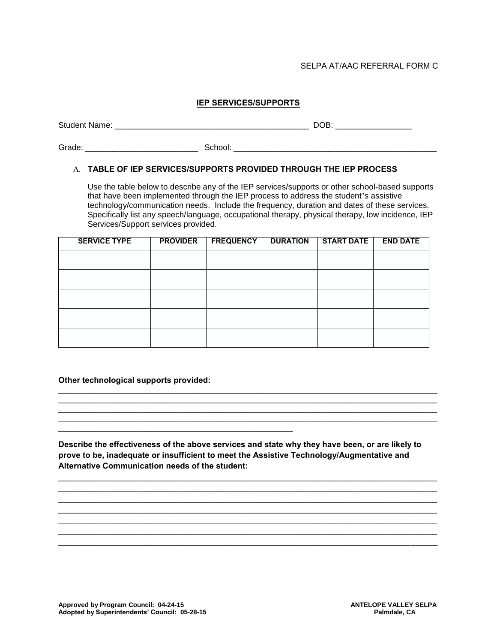#### SELPA AT/AAC REFERRAL FORM C

#### **IEP SERVICES/SUPPORTS**

Student Name: \_\_\_\_\_\_\_\_\_\_\_\_\_\_\_\_\_\_\_\_\_\_\_\_\_\_\_\_\_\_\_\_\_\_\_\_\_\_\_\_\_\_\_ DOB: \_\_\_\_\_\_\_\_\_\_\_\_\_\_\_\_\_

Grade: \_\_\_\_\_\_\_\_\_\_\_\_\_\_\_\_\_\_\_\_\_\_\_\_\_ School: \_\_\_\_\_\_\_\_\_\_\_\_\_\_\_\_\_\_\_\_\_\_\_\_\_\_\_\_\_\_\_\_\_\_\_\_\_\_\_\_\_\_\_\_\_

#### A. **TABLE OF IEP SERVICES/SUPPORTS PROVIDED THROUGH THE IEP PROCESS**

Use the table below to describe any of the IEP services/supports or other school-based supports that have been implemented through the IEP process to address the student's assistive technology/communication needs. Include the frequency, duration and dates of these services. Specifically list any speech/language, occupational therapy, physical therapy, low incidence, IEP Services/Support services provided.

| <b>SERVICE TYPE</b> | <b>PROVIDER</b> | <b>FREQUENCY</b> | <b>DURATION</b> | <b>START DATE</b> | <b>END DATE</b> |
|---------------------|-----------------|------------------|-----------------|-------------------|-----------------|
|                     |                 |                  |                 |                   |                 |
|                     |                 |                  |                 |                   |                 |
|                     |                 |                  |                 |                   |                 |
|                     |                 |                  |                 |                   |                 |
|                     |                 |                  |                 |                   |                 |
|                     |                 |                  |                 |                   |                 |

**Other technological supports provided:**

\_\_\_\_\_\_\_\_\_\_\_\_\_\_\_\_\_\_\_\_\_\_\_\_\_\_\_\_\_\_\_\_\_\_\_\_\_\_\_\_\_\_\_\_\_\_\_\_\_\_\_\_

**Describe the effectiveness of the above services and state why they have been, or are likely to prove to be, inadequate or insufficient to meet the Assistive Technology/Augmentative and Alternative Communication needs of the student:** 

\_\_\_\_\_\_\_\_\_\_\_\_\_\_\_\_\_\_\_\_\_\_\_\_\_\_\_\_\_\_\_\_\_\_\_\_\_\_\_\_\_\_\_\_\_\_\_\_\_\_\_\_\_\_\_\_\_\_\_\_\_\_\_\_\_\_\_\_\_\_\_\_\_\_\_\_\_\_\_\_\_\_\_\_ \_\_\_\_\_\_\_\_\_\_\_\_\_\_\_\_\_\_\_\_\_\_\_\_\_\_\_\_\_\_\_\_\_\_\_\_\_\_\_\_\_\_\_\_\_\_\_\_\_\_\_\_\_\_\_\_\_\_\_\_\_\_\_\_\_\_\_\_\_\_\_\_\_\_\_\_\_\_\_\_\_\_\_\_ \_\_\_\_\_\_\_\_\_\_\_\_\_\_\_\_\_\_\_\_\_\_\_\_\_\_\_\_\_\_\_\_\_\_\_\_\_\_\_\_\_\_\_\_\_\_\_\_\_\_\_\_\_\_\_\_\_\_\_\_\_\_\_\_\_\_\_\_\_\_\_\_\_\_\_\_\_\_\_\_\_\_\_\_ \_\_\_\_\_\_\_\_\_\_\_\_\_\_\_\_\_\_\_\_\_\_\_\_\_\_\_\_\_\_\_\_\_\_\_\_\_\_\_\_\_\_\_\_\_\_\_\_\_\_\_\_\_\_\_\_\_\_\_\_\_\_\_\_\_\_\_\_\_\_\_\_\_\_\_\_\_\_\_\_\_\_\_\_ \_\_\_\_\_\_\_\_\_\_\_\_\_\_\_\_\_\_\_\_\_\_\_\_\_\_\_\_\_\_\_\_\_\_\_\_\_\_\_\_\_\_\_\_\_\_\_\_\_\_\_\_\_\_\_\_\_\_\_\_\_\_\_\_\_\_\_\_\_\_\_\_\_\_\_\_\_\_\_\_\_\_\_\_ \_\_\_\_\_\_\_\_\_\_\_\_\_\_\_\_\_\_\_\_\_\_\_\_\_\_\_\_\_\_\_\_\_\_\_\_\_\_\_\_\_\_\_\_\_\_\_\_\_\_\_\_\_\_\_\_\_\_\_\_\_\_\_\_\_\_\_\_\_\_\_\_\_\_\_\_\_\_\_\_\_\_\_\_ \_\_\_\_\_\_\_\_\_\_\_\_\_\_\_\_\_\_\_\_\_\_\_\_\_\_\_\_\_\_\_\_\_\_\_\_\_\_\_\_\_\_\_\_\_\_\_\_\_\_\_\_\_\_\_\_\_\_\_\_\_\_\_\_\_\_\_\_\_\_\_\_\_\_\_\_\_\_\_\_\_\_\_\_

\_\_\_\_\_\_\_\_\_\_\_\_\_\_\_\_\_\_\_\_\_\_\_\_\_\_\_\_\_\_\_\_\_\_\_\_\_\_\_\_\_\_\_\_\_\_\_\_\_\_\_\_\_\_\_\_\_\_\_\_\_\_\_\_\_\_\_\_\_\_\_\_\_\_\_\_\_\_\_\_\_\_\_\_ \_\_\_\_\_\_\_\_\_\_\_\_\_\_\_\_\_\_\_\_\_\_\_\_\_\_\_\_\_\_\_\_\_\_\_\_\_\_\_\_\_\_\_\_\_\_\_\_\_\_\_\_\_\_\_\_\_\_\_\_\_\_\_\_\_\_\_\_\_\_\_\_\_\_\_\_\_\_\_\_\_\_\_\_ \_\_\_\_\_\_\_\_\_\_\_\_\_\_\_\_\_\_\_\_\_\_\_\_\_\_\_\_\_\_\_\_\_\_\_\_\_\_\_\_\_\_\_\_\_\_\_\_\_\_\_\_\_\_\_\_\_\_\_\_\_\_\_\_\_\_\_\_\_\_\_\_\_\_\_\_\_\_\_\_\_\_\_\_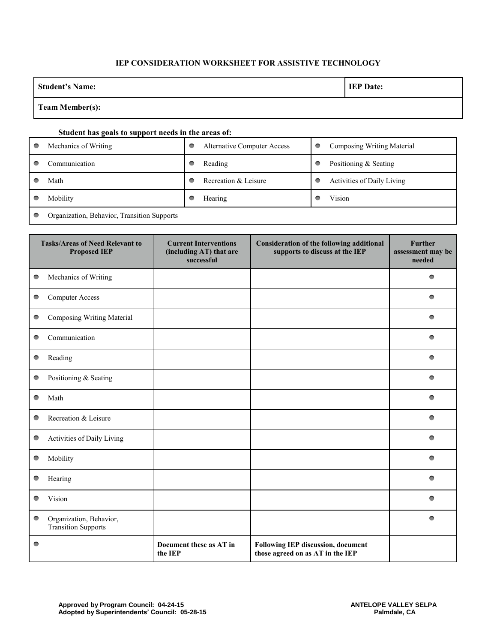#### **IEP CONSIDERATION WORKSHEET FOR ASSISTIVE TECHNOLOGY**

| <b>Student's Name:</b>                                | <b>IEP Date:</b> |
|-------------------------------------------------------|------------------|
| $T_{\text{com}}$ M <sub>om</sub> b <sub>ou</sub> (a). |                  |

#### **Team Member(s):**

#### **Student has goals to support needs in the areas of:**

| Mechanics of Writing                        | <b>Alternative Computer Access</b> | O | Composing Writing Material |
|---------------------------------------------|------------------------------------|---|----------------------------|
| Communication                               | Reading                            | g | Positioning & Seating      |
| Math                                        | Recreation & Leisure               | c | Activities of Daily Living |
| Mobility                                    | Hearing                            |   | Vision                     |
| Organization, Behavior, Transition Supports |                                    |   |                            |

| <b>Tasks/Areas of Need Relevant to</b><br><b>Proposed IEP</b> |                                                       | <b>Current Interventions</b><br>(including AT) that are<br>successful | <b>Consideration of the following additional</b><br>supports to discuss at the IEP | <b>Further</b><br>assessment may be<br>needed |
|---------------------------------------------------------------|-------------------------------------------------------|-----------------------------------------------------------------------|------------------------------------------------------------------------------------|-----------------------------------------------|
| $\bullet$                                                     | Mechanics of Writing                                  |                                                                       |                                                                                    | 0                                             |
| $\bullet$                                                     | <b>Computer Access</b>                                |                                                                       |                                                                                    |                                               |
| $\bullet$                                                     | Composing Writing Material                            |                                                                       |                                                                                    | ●                                             |
| $\bullet$                                                     | Communication                                         |                                                                       |                                                                                    | ●                                             |
| $\bullet$                                                     | Reading                                               |                                                                       |                                                                                    | ●                                             |
| $\bullet$                                                     | Positioning & Seating                                 |                                                                       |                                                                                    |                                               |
| $\bullet$                                                     | Math                                                  |                                                                       |                                                                                    | ●                                             |
|                                                               | Recreation & Leisure                                  |                                                                       |                                                                                    | ●                                             |
| $\bullet$                                                     | Activities of Daily Living                            |                                                                       |                                                                                    |                                               |
| $\bullet$                                                     | Mobility                                              |                                                                       |                                                                                    | $\bullet$                                     |
| $\bullet$                                                     | Hearing                                               |                                                                       |                                                                                    | ≏                                             |
| ●                                                             | Vision                                                |                                                                       |                                                                                    |                                               |
| $\bullet$                                                     | Organization, Behavior,<br><b>Transition Supports</b> |                                                                       |                                                                                    | $\bullet$                                     |
| $\bullet$                                                     |                                                       | Document these as AT in<br>the IEP                                    | <b>Following IEP discussion, document</b><br>those agreed on as AT in the IEP      |                                               |